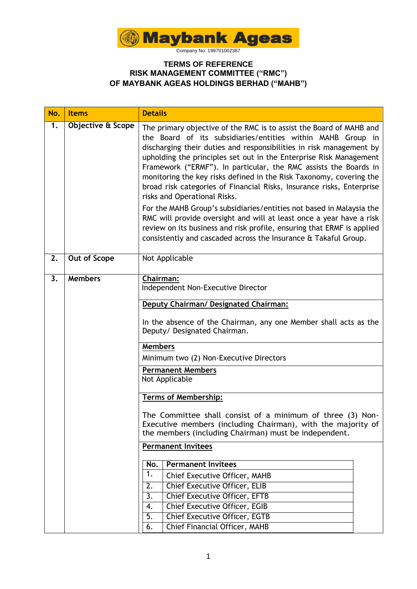

| No. | <b>Items</b>      | <b>Details</b>                                                                                                                                                                                                                                                                                                                                                                                                                                                                                                                                                                                                                                                                                                                                                                                                                   |  |  |  |  |
|-----|-------------------|----------------------------------------------------------------------------------------------------------------------------------------------------------------------------------------------------------------------------------------------------------------------------------------------------------------------------------------------------------------------------------------------------------------------------------------------------------------------------------------------------------------------------------------------------------------------------------------------------------------------------------------------------------------------------------------------------------------------------------------------------------------------------------------------------------------------------------|--|--|--|--|
| 1.  | Objective & Scope | The primary objective of the RMC is to assist the Board of MAHB and<br>the Board of its subsidiaries/entities within MAHB Group in<br>discharging their duties and responsibilities in risk management by<br>upholding the principles set out in the Enterprise Risk Management<br>Framework ("ERMF"). In particular, the RMC assists the Boards in<br>monitoring the key risks defined in the Risk Taxonomy, covering the<br>broad risk categories of Financial Risks, Insurance risks, Enterprise<br>risks and Operational Risks.<br>For the MAHB Group's subsidiaries/entities not based in Malaysia the<br>RMC will provide oversight and will at least once a year have a risk<br>review on its business and risk profile, ensuring that ERMF is applied<br>consistently and cascaded across the Insurance & Takaful Group. |  |  |  |  |
| 2.  | Out of Scope      | Not Applicable                                                                                                                                                                                                                                                                                                                                                                                                                                                                                                                                                                                                                                                                                                                                                                                                                   |  |  |  |  |
| 3.  | <b>Members</b>    | Chairman:<br>Independent Non-Executive Director<br>Deputy Chairman/ Designated Chairman:<br>In the absence of the Chairman, any one Member shall acts as the<br>Deputy/ Designated Chairman.                                                                                                                                                                                                                                                                                                                                                                                                                                                                                                                                                                                                                                     |  |  |  |  |
|     |                   | <b>Members</b><br>Minimum two (2) Non-Executive Directors                                                                                                                                                                                                                                                                                                                                                                                                                                                                                                                                                                                                                                                                                                                                                                        |  |  |  |  |
|     |                   | <b>Permanent Members</b><br>Not Applicable                                                                                                                                                                                                                                                                                                                                                                                                                                                                                                                                                                                                                                                                                                                                                                                       |  |  |  |  |
|     |                   | <b>Terms of Membership:</b>                                                                                                                                                                                                                                                                                                                                                                                                                                                                                                                                                                                                                                                                                                                                                                                                      |  |  |  |  |
|     |                   | The Committee shall consist of a minimum of three (3) Non-<br>Executive members (including Chairman), with the majority of<br>the members (including Chairman) must be independent.                                                                                                                                                                                                                                                                                                                                                                                                                                                                                                                                                                                                                                              |  |  |  |  |
|     |                   | <b>Permanent Invitees</b>                                                                                                                                                                                                                                                                                                                                                                                                                                                                                                                                                                                                                                                                                                                                                                                                        |  |  |  |  |
|     |                   | <b>Permanent Invitees</b><br>No.<br>1.                                                                                                                                                                                                                                                                                                                                                                                                                                                                                                                                                                                                                                                                                                                                                                                           |  |  |  |  |
|     |                   | Chief Executive Officer, MAHB<br>Chief Executive Officer, ELIB                                                                                                                                                                                                                                                                                                                                                                                                                                                                                                                                                                                                                                                                                                                                                                   |  |  |  |  |
|     |                   | 2.<br>Chief Executive Officer, EFTB<br>3.                                                                                                                                                                                                                                                                                                                                                                                                                                                                                                                                                                                                                                                                                                                                                                                        |  |  |  |  |
|     |                   | Chief Executive Officer, EGIB<br>4.                                                                                                                                                                                                                                                                                                                                                                                                                                                                                                                                                                                                                                                                                                                                                                                              |  |  |  |  |
|     |                   | Chief Executive Officer, EGTB<br>5.                                                                                                                                                                                                                                                                                                                                                                                                                                                                                                                                                                                                                                                                                                                                                                                              |  |  |  |  |
|     |                   | Chief Financial Officer, MAHB<br>6.                                                                                                                                                                                                                                                                                                                                                                                                                                                                                                                                                                                                                                                                                                                                                                                              |  |  |  |  |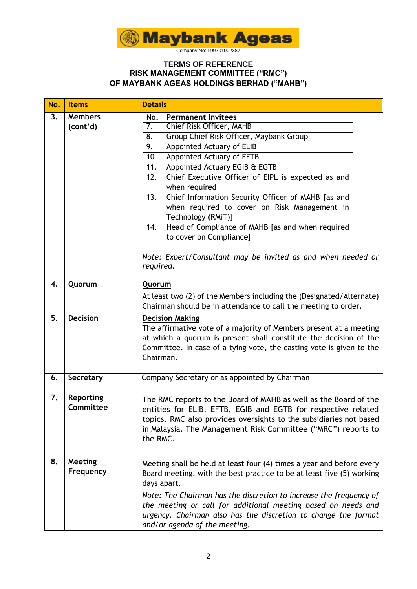

| No. | <b>Items</b>                  | <b>Details</b>                                                                                                                                                                                                                                                                                                                                                                                                                                                                                                                                                                                                                      |  |  |  |
|-----|-------------------------------|-------------------------------------------------------------------------------------------------------------------------------------------------------------------------------------------------------------------------------------------------------------------------------------------------------------------------------------------------------------------------------------------------------------------------------------------------------------------------------------------------------------------------------------------------------------------------------------------------------------------------------------|--|--|--|
| 3.  | <b>Members</b><br>(cont'd)    | <b>Permanent Invitees</b><br>No.<br>$\overline{7}$ .<br>Chief Risk Officer, MAHB<br>8.<br>Group Chief Risk Officer, Maybank Group<br>9.<br>Appointed Actuary of ELIB<br>10<br>Appointed Actuary of EFTB<br>Appointed Actuary EGIB & EGTB<br>11.<br>Chief Executive Officer of EIPL is expected as and<br>12.<br>when required<br>13.<br>Chief Information Security Officer of MAHB [as and<br>when required to cover on Risk Management in<br>Technology (RMiT)]<br>Head of Compliance of MAHB [as and when required<br>14.<br>to cover on Compliance]<br>Note: Expert/Consultant may be invited as and when needed or<br>required. |  |  |  |
| 4.  | Quorum                        | Quorum<br>At least two (2) of the Members including the (Designated/Alternate)<br>Chairman should be in attendance to call the meeting to order.                                                                                                                                                                                                                                                                                                                                                                                                                                                                                    |  |  |  |
| 5.  | <b>Decision</b>               | <b>Decision Making</b><br>The affirmative vote of a majority of Members present at a meeting<br>at which a quorum is present shall constitute the decision of the<br>Committee. In case of a tying vote, the casting vote is given to the<br>Chairman.                                                                                                                                                                                                                                                                                                                                                                              |  |  |  |
| 6.  | Secretary                     | Company Secretary or as appointed by Chairman                                                                                                                                                                                                                                                                                                                                                                                                                                                                                                                                                                                       |  |  |  |
| 7.  | <b>Reporting</b><br>Committee | The RMC reports to the Board of MAHB as well as the Board of the<br>entities for ELIB, EFTB, EGIB and EGTB for respective related<br>topics. RMC also provides oversights to the subsidiaries not based<br>in Malaysia. The Management Risk Committee ("MRC") reports to<br>the RMC.                                                                                                                                                                                                                                                                                                                                                |  |  |  |
| 8.  | Meeting<br>Frequency          | Meeting shall be held at least four (4) times a year and before every<br>Board meeting, with the best practice to be at least five (5) working<br>days apart.<br>Note: The Chairman has the discretion to increase the frequency of<br>the meeting or call for additional meeting based on needs and<br>urgency. Chairman also has the discretion to change the format<br>and/or agenda of the meeting.                                                                                                                                                                                                                             |  |  |  |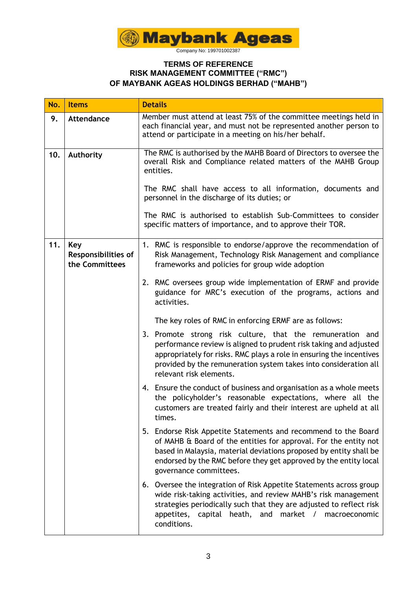

| No. | <b>Items</b>                                        | <b>Details</b>                                                                                                                                                                                                                                                                                                               |  |  |  |
|-----|-----------------------------------------------------|------------------------------------------------------------------------------------------------------------------------------------------------------------------------------------------------------------------------------------------------------------------------------------------------------------------------------|--|--|--|
| 9.  | <b>Attendance</b>                                   | Member must attend at least 75% of the committee meetings held in<br>each financial year, and must not be represented another person to<br>attend or participate in a meeting on his/her behalf.                                                                                                                             |  |  |  |
| 10. | Authority                                           | The RMC is authorised by the MAHB Board of Directors to oversee the<br>overall Risk and Compliance related matters of the MAHB Group<br>entities.                                                                                                                                                                            |  |  |  |
|     |                                                     | The RMC shall have access to all information, documents and<br>personnel in the discharge of its duties; or                                                                                                                                                                                                                  |  |  |  |
|     |                                                     | The RMC is authorised to establish Sub-Committees to consider<br>specific matters of importance, and to approve their TOR.                                                                                                                                                                                                   |  |  |  |
| 11. | Key<br><b>Responsibilities of</b><br>the Committees | 1. RMC is responsible to endorse/approve the recommendation of<br>Risk Management, Technology Risk Management and compliance<br>frameworks and policies for group wide adoption<br>2. RMC oversees group wide implementation of ERMF and provide<br>guidance for MRC's execution of the programs, actions and<br>activities. |  |  |  |
|     |                                                     |                                                                                                                                                                                                                                                                                                                              |  |  |  |
|     |                                                     | The key roles of RMC in enforcing ERMF are as follows:                                                                                                                                                                                                                                                                       |  |  |  |
|     |                                                     | 3. Promote strong risk culture, that the remuneration and<br>performance review is aligned to prudent risk taking and adjusted<br>appropriately for risks. RMC plays a role in ensuring the incentives<br>provided by the remuneration system takes into consideration all<br>relevant risk elements.                        |  |  |  |
|     |                                                     | 4. Ensure the conduct of business and organisation as a whole meets<br>the policyholder's reasonable expectations, where all the<br>customers are treated fairly and their interest are upheld at all<br>times.                                                                                                              |  |  |  |
|     |                                                     | 5. Endorse Risk Appetite Statements and recommend to the Board<br>of MAHB & Board of the entities for approval. For the entity not<br>based in Malaysia, material deviations proposed by entity shall be<br>endorsed by the RMC before they get approved by the entity local<br>governance committees.                       |  |  |  |
|     |                                                     | Oversee the integration of Risk Appetite Statements across group<br>6.<br>wide risk-taking activities, and review MAHB's risk management<br>strategies periodically such that they are adjusted to reflect risk<br>appetites, capital heath, and market /<br>macroeconomic<br>conditions.                                    |  |  |  |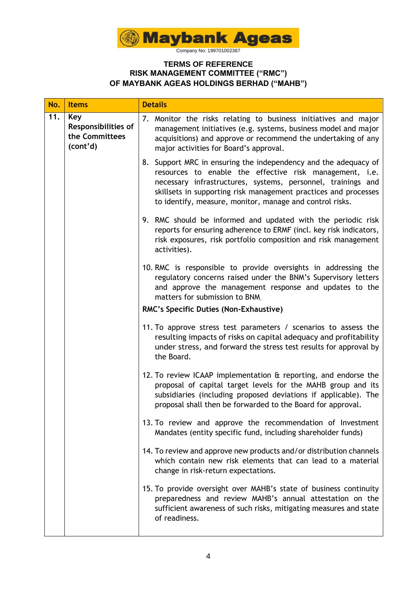

| No. | <b>Items</b>                                                    | <b>Details</b>                                                                                                                                                                                                                                                                                                            |  |  |  |
|-----|-----------------------------------------------------------------|---------------------------------------------------------------------------------------------------------------------------------------------------------------------------------------------------------------------------------------------------------------------------------------------------------------------------|--|--|--|
| 11. | Key<br><b>Responsibilities of</b><br>the Committees<br>(cont'd) | 7. Monitor the risks relating to business initiatives and major<br>management initiatives (e.g. systems, business model and major<br>acquisitions) and approve or recommend the undertaking of any<br>major activities for Board's approval.                                                                              |  |  |  |
|     |                                                                 | 8. Support MRC in ensuring the independency and the adequacy of<br>resources to enable the effective risk management, i.e.<br>necessary infrastructures, systems, personnel, trainings and<br>skillsets in supporting risk management practices and processes<br>to identify, measure, monitor, manage and control risks. |  |  |  |
|     |                                                                 | 9. RMC should be informed and updated with the periodic risk<br>reports for ensuring adherence to ERMF (incl. key risk indicators,<br>risk exposures, risk portfolio composition and risk management<br>activities).                                                                                                      |  |  |  |
|     |                                                                 | 10. RMC is responsible to provide oversights in addressing the<br>regulatory concerns raised under the BNM's Supervisory letters<br>and approve the management response and updates to the<br>matters for submission to BNM                                                                                               |  |  |  |
|     |                                                                 | RMC's Specific Duties (Non-Exhaustive)                                                                                                                                                                                                                                                                                    |  |  |  |
|     |                                                                 | 11. To approve stress test parameters / scenarios to assess the<br>resulting impacts of risks on capital adequacy and profitability<br>under stress, and forward the stress test results for approval by<br>the Board.                                                                                                    |  |  |  |
|     |                                                                 | 12. To review ICAAP implementation & reporting, and endorse the<br>proposal of capital target levels for the MAHB group and its<br>subsidiaries (including proposed deviations if applicable). The<br>proposal shall then be forwarded to the Board for approval.                                                         |  |  |  |
|     |                                                                 | 13. To review and approve the recommendation of Investment<br>Mandates (entity specific fund, including shareholder funds)                                                                                                                                                                                                |  |  |  |
|     |                                                                 | 14. To review and approve new products and/or distribution channels<br>which contain new risk elements that can lead to a material<br>change in risk-return expectations.                                                                                                                                                 |  |  |  |
|     |                                                                 | 15. To provide oversight over MAHB's state of business continuity<br>preparedness and review MAHB's annual attestation on the<br>sufficient awareness of such risks, mitigating measures and state<br>of readiness.                                                                                                       |  |  |  |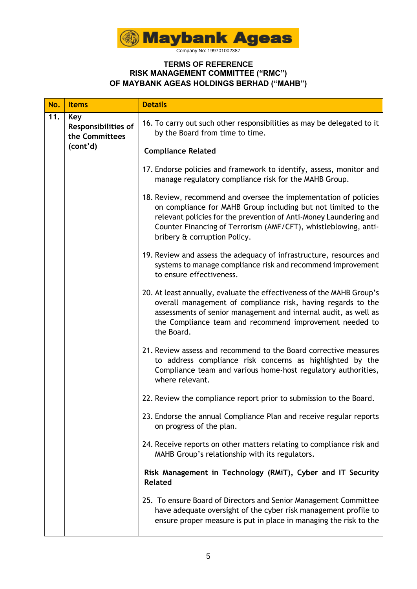

| No.     | <b>Items</b>                                                    | <b>Details</b>                                                                                                                                                                                                                                                                                            |  |  |  |
|---------|-----------------------------------------------------------------|-----------------------------------------------------------------------------------------------------------------------------------------------------------------------------------------------------------------------------------------------------------------------------------------------------------|--|--|--|
| 11.     | Key<br><b>Responsibilities of</b><br>the Committees<br>(cont'd) | 16. To carry out such other responsibilities as may be delegated to it<br>by the Board from time to time.                                                                                                                                                                                                 |  |  |  |
|         |                                                                 | <b>Compliance Related</b>                                                                                                                                                                                                                                                                                 |  |  |  |
|         |                                                                 | 17. Endorse policies and framework to identify, assess, monitor and<br>manage regulatory compliance risk for the MAHB Group.                                                                                                                                                                              |  |  |  |
|         |                                                                 | 18. Review, recommend and oversee the implementation of policies<br>on compliance for MAHB Group including but not limited to the<br>relevant policies for the prevention of Anti-Money Laundering and<br>Counter Financing of Terrorism (AMF/CFT), whistleblowing, anti-<br>bribery & corruption Policy. |  |  |  |
|         |                                                                 | 19. Review and assess the adequacy of infrastructure, resources and<br>systems to manage compliance risk and recommend improvement<br>to ensure effectiveness.                                                                                                                                            |  |  |  |
|         |                                                                 | 20. At least annually, evaluate the effectiveness of the MAHB Group's<br>overall management of compliance risk, having regards to the<br>assessments of senior management and internal audit, as well as<br>the Compliance team and recommend improvement needed to<br>the Board.                         |  |  |  |
|         |                                                                 | 21. Review assess and recommend to the Board corrective measures<br>to address compliance risk concerns as highlighted by the<br>Compliance team and various home-host regulatory authorities,<br>where relevant.                                                                                         |  |  |  |
|         |                                                                 | 22. Review the compliance report prior to submission to the Board.                                                                                                                                                                                                                                        |  |  |  |
|         |                                                                 | 23. Endorse the annual Compliance Plan and receive regular reports<br>on progress of the plan.                                                                                                                                                                                                            |  |  |  |
|         |                                                                 | 24. Receive reports on other matters relating to compliance risk and<br>MAHB Group's relationship with its regulators.                                                                                                                                                                                    |  |  |  |
| Related |                                                                 | Risk Management in Technology (RMiT), Cyber and IT Security                                                                                                                                                                                                                                               |  |  |  |
|         |                                                                 | 25. To ensure Board of Directors and Senior Management Committee<br>have adequate oversight of the cyber risk management profile to<br>ensure proper measure is put in place in managing the risk to the                                                                                                  |  |  |  |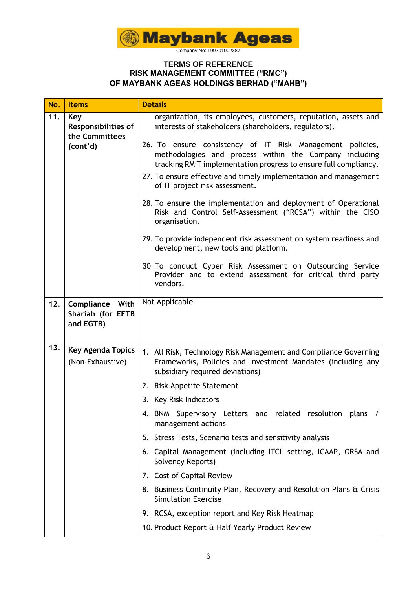

| No. | <b>Items</b>                                                    | <b>Details</b>                                                                                                                                                                          |  |  |
|-----|-----------------------------------------------------------------|-----------------------------------------------------------------------------------------------------------------------------------------------------------------------------------------|--|--|
| 11. | Key<br><b>Responsibilities of</b><br>the Committees<br>(cont'd) | organization, its employees, customers, reputation, assets and<br>interests of stakeholders (shareholders, regulators).                                                                 |  |  |
|     |                                                                 | 26. To ensure consistency of IT Risk Management policies,<br>methodologies and process within the Company including<br>tracking RMiT implementation progress to ensure full compliancy. |  |  |
|     |                                                                 | 27. To ensure effective and timely implementation and management<br>of IT project risk assessment.                                                                                      |  |  |
|     |                                                                 | 28. To ensure the implementation and deployment of Operational<br>Risk and Control Self-Assessment ("RCSA") within the CISO<br>organisation.                                            |  |  |
|     |                                                                 | 29. To provide independent risk assessment on system readiness and<br>development, new tools and platform.                                                                              |  |  |
|     |                                                                 | 30. To conduct Cyber Risk Assessment on Outsourcing Service<br>Provider and to extend assessment for critical third party<br>vendors.                                                   |  |  |
| 12. | <b>Compliance With</b><br>Shariah (for EFTB<br>and EGTB)        | Not Applicable                                                                                                                                                                          |  |  |
| 13. | <b>Key Agenda Topics</b><br>(Non-Exhaustive)                    | 1. All Risk, Technology Risk Management and Compliance Governing<br>Frameworks, Policies and Investment Mandates (including any<br>subsidiary required deviations)                      |  |  |
|     |                                                                 | 2. Risk Appetite Statement                                                                                                                                                              |  |  |
|     |                                                                 | 3. Key Risk Indicators                                                                                                                                                                  |  |  |
|     |                                                                 | 4. BNM Supervisory Letters and related resolution plans /<br>management actions                                                                                                         |  |  |
|     |                                                                 | 5. Stress Tests, Scenario tests and sensitivity analysis                                                                                                                                |  |  |
|     |                                                                 | 6. Capital Management (including ITCL setting, ICAAP, ORSA and<br>Solvency Reports)                                                                                                     |  |  |
|     |                                                                 | 7. Cost of Capital Review                                                                                                                                                               |  |  |
|     |                                                                 | 8. Business Continuity Plan, Recovery and Resolution Plans & Crisis<br><b>Simulation Exercise</b>                                                                                       |  |  |
|     |                                                                 | 9. RCSA, exception report and Key Risk Heatmap                                                                                                                                          |  |  |
|     |                                                                 | 10. Product Report & Half Yearly Product Review                                                                                                                                         |  |  |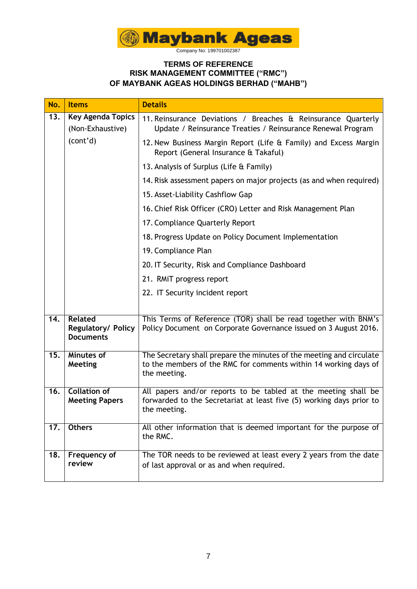

| No.               | <b>Items</b>                                             | <b>Details</b>                                                                                                                                           |  |  |  |
|-------------------|----------------------------------------------------------|----------------------------------------------------------------------------------------------------------------------------------------------------------|--|--|--|
| 13.               | <b>Key Agenda Topics</b><br>(Non-Exhaustive)             | 11. Reinsurance Deviations / Breaches & Reinsurance Quarterly<br>Update / Reinsurance Treaties / Reinsurance Renewal Program                             |  |  |  |
|                   | (cont'd)                                                 | 12. New Business Margin Report (Life & Family) and Excess Margin<br>Report (General Insurance & Takaful)                                                 |  |  |  |
|                   |                                                          | 13. Analysis of Surplus (Life & Family)                                                                                                                  |  |  |  |
|                   |                                                          | 14. Risk assessment papers on major projects (as and when required)                                                                                      |  |  |  |
|                   |                                                          | 15. Asset-Liability Cashflow Gap                                                                                                                         |  |  |  |
|                   |                                                          | 16. Chief Risk Officer (CRO) Letter and Risk Management Plan                                                                                             |  |  |  |
|                   |                                                          | 17. Compliance Quarterly Report                                                                                                                          |  |  |  |
|                   |                                                          | 18. Progress Update on Policy Document Implementation                                                                                                    |  |  |  |
|                   |                                                          | 19. Compliance Plan                                                                                                                                      |  |  |  |
|                   |                                                          | 20. IT Security, Risk and Compliance Dashboard                                                                                                           |  |  |  |
|                   |                                                          | 21. RMiT progress report                                                                                                                                 |  |  |  |
|                   |                                                          | 22. IT Security incident report                                                                                                                          |  |  |  |
|                   |                                                          |                                                                                                                                                          |  |  |  |
| 14.               | <b>Related</b><br>Regulatory/ Policy<br><b>Documents</b> | This Terms of Reference (TOR) shall be read together with BNM's<br>Policy Document on Corporate Governance issued on 3 August 2016.                      |  |  |  |
| 15.               | Minutes of<br>Meeting                                    | The Secretary shall prepare the minutes of the meeting and circulate<br>to the members of the RMC for comments within 14 working days of<br>the meeting. |  |  |  |
| $\overline{16}$ . | <b>Collation of</b><br><b>Meeting Papers</b>             | All papers and/or reports to be tabled at the meeting shall be<br>forwarded to the Secretariat at least five (5) working days prior to<br>the meeting.   |  |  |  |
| 17.               | <b>Others</b>                                            | All other information that is deemed important for the purpose of<br>the RMC.                                                                            |  |  |  |
| 18.               | Frequency of<br>review                                   | The TOR needs to be reviewed at least every 2 years from the date<br>of last approval or as and when required.                                           |  |  |  |